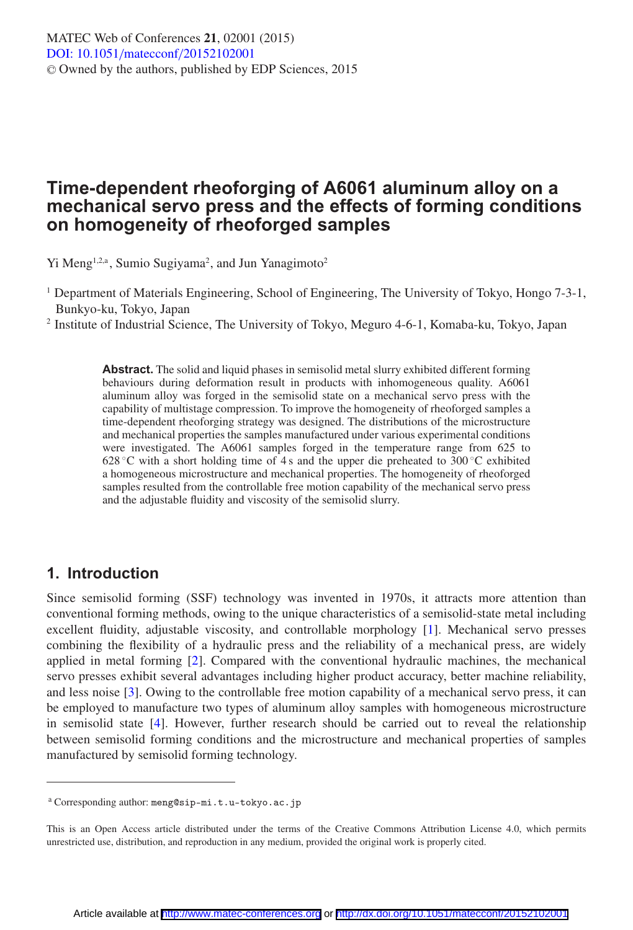# **Time-dependent rheoforging of A6061 aluminum alloy on a mechanical servo press and the effects of forming conditions on homogeneity of rheoforged samples**

Yi Meng<sup>1,2,a</sup>, Sumio Sugiyama<sup>2</sup>, and Jun Yanagimoto<sup>2</sup>

<sup>1</sup> Department of Materials Engineering, School of Engineering, The University of Tokyo, Hongo 7-3-1, Bunkyo-ku, Tokyo, Japan

<sup>2</sup> Institute of Industrial Science, The University of Tokyo, Meguro 4-6-1, Komaba-ku, Tokyo, Japan

**Abstract.** The solid and liquid phases in semisolid metal slurry exhibited different forming behaviours during deformation result in products with inhomogeneous quality. A6061 aluminum alloy was forged in the semisolid state on a mechanical servo press with the capability of multistage compression. To improve the homogeneity of rheoforged samples a time-dependent rheoforging strategy was designed. The distributions of the microstructure and mechanical properties the samples manufactured under various experimental conditions were investigated. The A6061 samples forged in the temperature range from 625 to 628 °C with a short holding time of 4 s and the upper die preheated to 300 °C exhibited a homogeneous microstructure and mechanical properties. The homogeneity of rheoforged samples resulted from the controllable free motion capability of the mechanical servo press and the adjustable fluidity and viscosity of the semisolid slurry.

### **1. Introduction**

Since semisolid forming (SSF) technology was invented in 1970s, it attracts more attention than conventional forming methods, owing to the unique characteristics of a semisolid-state metal including excellent fluidity, adjustable viscosity, and controllable morphology [\[1](#page-6-0)]. Mechanical servo presses combining the flexibility of a hydraulic press and the reliability of a mechanical press, are widely applied in metal forming [\[2](#page-6-1)]. Compared with the conventional hydraulic machines, the mechanical servo presses exhibit several advantages including higher product accuracy, better machine reliability, and less noise [\[3](#page-6-2)]. Owing to the controllable free motion capability of a mechanical servo press, it can be employed to manufacture two types of aluminum alloy samples with homogeneous microstructure in semisolid state [\[4](#page-6-3)]. However, further research should be carried out to reveal the relationship between semisolid forming conditions and the microstructure and mechanical properties of samples manufactured by semisolid forming technology.

<sup>a</sup> Corresponding author: meng@sip-mi.t.u-tokyo.ac.jp

This is an Open Access article distributed under the terms of the Creative Commons Attribution License 4.0, which permits unrestricted use, distribution, and reproduction in any medium, provided the original work is properly cited.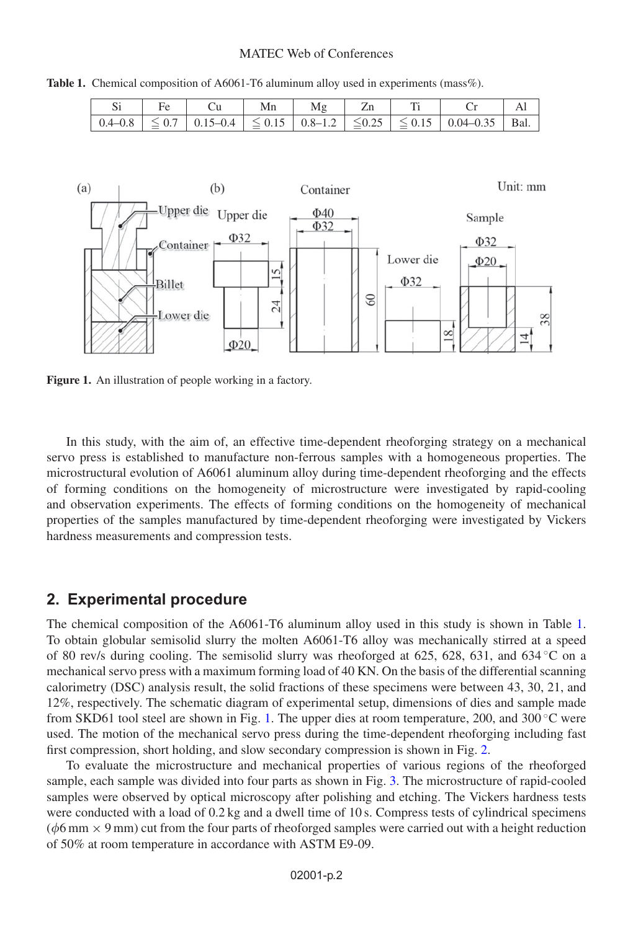#### MATEC Web of Conferences

<span id="page-1-0"></span>**Table 1.** Chemical composition of A6061-T6 aluminum alloy used in experiments (mass%).

|  | Mn | Mg |  |                                                                                                                                        |  |
|--|----|----|--|----------------------------------------------------------------------------------------------------------------------------------------|--|
|  |    |    |  | $\vert 0.4-0.8 \vert \leq 0.7 \vert 0.15-0.4 \vert \leq 0.15 \vert 0.8-1.2 \vert \leq 0.25 \vert \leq 0.15 \vert 0.04-0.35 \vert$ Bal. |  |

<span id="page-1-1"></span>

**Figure 1.** An illustration of people working in a factory.

In this study, with the aim of, an effective time-dependent rheoforging strategy on a mechanical servo press is established to manufacture non-ferrous samples with a homogeneous properties. The microstructural evolution of A6061 aluminum alloy during time-dependent rheoforging and the effects of forming conditions on the homogeneity of microstructure were investigated by rapid-cooling and observation experiments. The effects of forming conditions on the homogeneity of mechanical properties of the samples manufactured by time-dependent rheoforging were investigated by Vickers hardness measurements and compression tests.

#### **2. Experimental procedure**

The chemical composition of the A6061-T6 aluminum alloy used in this study is shown in Table [1.](#page-1-0) To obtain globular semisolid slurry the molten A6061-T6 alloy was mechanically stirred at a speed of 80 rev/s during cooling. The semisolid slurry was rheoforged at 625, 628, 631, and 634 ◦C on a mechanical servo press with a maximum forming load of 40 KN. On the basis of the differential scanning calorimetry (DSC) analysis result, the solid fractions of these specimens were between 43, 30, 21, and 12%, respectively. The schematic diagram of experimental setup, dimensions of dies and sample made from SKD61 tool steel are shown in Fig. [1.](#page-1-1) The upper dies at room temperature, 200, and 300  $\degree$ C were used. The motion of the mechanical servo press during the time-dependent rheoforging including fast first compression, short holding, and slow secondary compression is shown in Fig. [2.](#page-2-0)

To evaluate the microstructure and mechanical properties of various regions of the rheoforged sample, each sample was divided into four parts as shown in Fig. [3.](#page-2-1) The microstructure of rapid-cooled samples were observed by optical microscopy after polishing and etching. The Vickers hardness tests were conducted with a load of 0.2 kg and a dwell time of 10 s. Compress tests of cylindrical specimens ( $\phi$ 6 mm  $\times$  9 mm) cut from the four parts of rheoforged samples were carried out with a height reduction of 50% at room temperature in accordance with ASTM E9-09.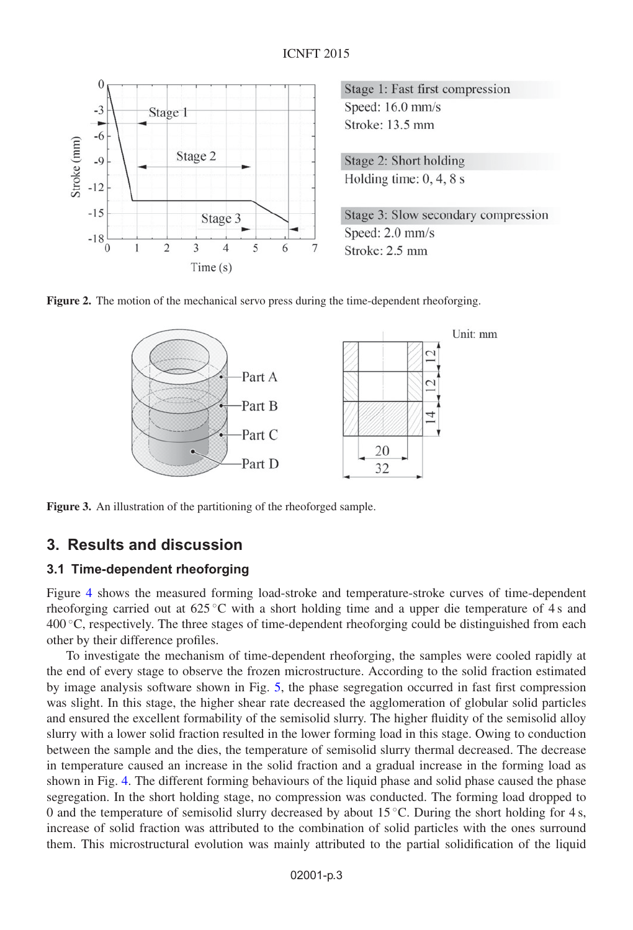<span id="page-2-0"></span>

Stage 1: Fast first compression Speed: 16.0 mm/s Stroke: 13.5 mm

Stage 2: Short holding Holding time:  $0, 4, 8$  s

Stage 3: Slow secondary compression Speed: 2.0 mm/s Stroke: 2.5 mm

<span id="page-2-1"></span>



**Figure 3.** An illustration of the partitioning of the rheoforged sample.

### **3. Results and discussion**

#### **3.1 Time-dependent rheoforging**

Figure [4](#page-3-0) shows the measured forming load-stroke and temperature-stroke curves of time-dependent rheoforging carried out at  $625^{\circ}$ C with a short holding time and a upper die temperature of 4 s and  $400\degree$ C, respectively. The three stages of time-dependent rheoforging could be distinguished from each other by their difference profiles.

To investigate the mechanism of time-dependent rheoforging, the samples were cooled rapidly at the end of every stage to observe the frozen microstructure. According to the solid fraction estimated by image analysis software shown in Fig. [5,](#page-3-1) the phase segregation occurred in fast first compression was slight. In this stage, the higher shear rate decreased the agglomeration of globular solid particles and ensured the excellent formability of the semisolid slurry. The higher fluidity of the semisolid alloy slurry with a lower solid fraction resulted in the lower forming load in this stage. Owing to conduction between the sample and the dies, the temperature of semisolid slurry thermal decreased. The decrease in temperature caused an increase in the solid fraction and a gradual increase in the forming load as shown in Fig. [4.](#page-3-0) The different forming behaviours of the liquid phase and solid phase caused the phase segregation. In the short holding stage, no compression was conducted. The forming load dropped to 0 and the temperature of semisolid slurry decreased by about  $15^{\circ}$ C. During the short holding for 4 s, increase of solid fraction was attributed to the combination of solid particles with the ones surround them. This microstructural evolution was mainly attributed to the partial solidification of the liquid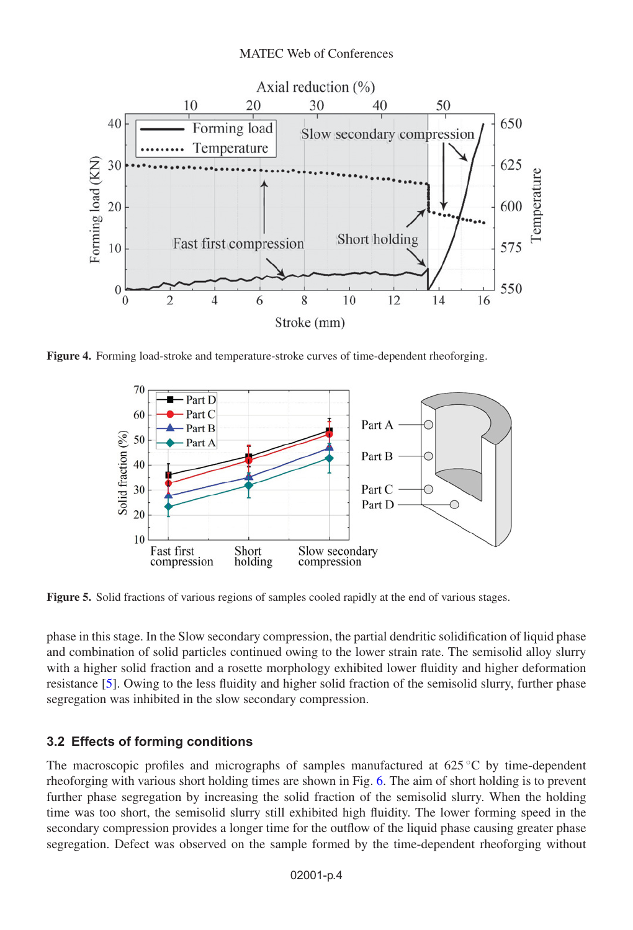#### MATEC Web of Conferences

<span id="page-3-0"></span>

<span id="page-3-1"></span>**Figure 4.** Forming load-stroke and temperature-stroke curves of time-dependent rheoforging.



**Figure 5.** Solid fractions of various regions of samples cooled rapidly at the end of various stages.

phase in this stage. In the Slow secondary compression, the partial dendritic solidification of liquid phase and combination of solid particles continued owing to the lower strain rate. The semisolid alloy slurry with a higher solid fraction and a rosette morphology exhibited lower fluidity and higher deformation resistance [\[5\]](#page-6-4). Owing to the less fluidity and higher solid fraction of the semisolid slurry, further phase segregation was inhibited in the slow secondary compression.

## **3.2 Effects of forming conditions**

The macroscopic profiles and micrographs of samples manufactured at  $625\degree C$  by time-dependent rheoforging with various short holding times are shown in Fig. [6.](#page-4-0) The aim of short holding is to prevent further phase segregation by increasing the solid fraction of the semisolid slurry. When the holding time was too short, the semisolid slurry still exhibited high fluidity. The lower forming speed in the secondary compression provides a longer time for the outflow of the liquid phase causing greater phase segregation. Defect was observed on the sample formed by the time-dependent rheoforging without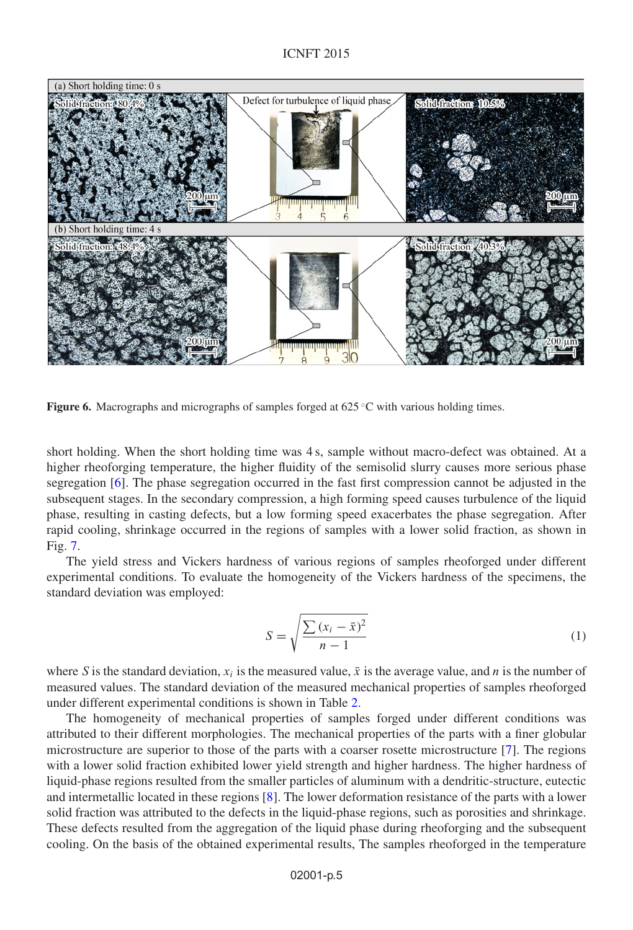<span id="page-4-0"></span>

**Figure 6.** Macrographs and micrographs of samples forged at 625 °C with various holding times.

short holding. When the short holding time was 4 s, sample without macro-defect was obtained. At a higher rheoforging temperature, the higher fluidity of the semisolid slurry causes more serious phase segregation [\[6](#page-6-5)]. The phase segregation occurred in the fast first compression cannot be adjusted in the subsequent stages. In the secondary compression, a high forming speed causes turbulence of the liquid phase, resulting in casting defects, but a low forming speed exacerbates the phase segregation. After rapid cooling, shrinkage occurred in the regions of samples with a lower solid fraction, as shown in Fig. [7.](#page-5-0)

The yield stress and Vickers hardness of various regions of samples rheoforged under different experimental conditions. To evaluate the homogeneity of the Vickers hardness of the specimens, the standard deviation was employed:

$$
S = \sqrt{\frac{\sum (x_i - \bar{x})^2}{n - 1}}\tag{1}
$$

where S is the standard deviation,  $x_i$  is the measured value,  $\bar{x}$  is the average value, and n is the number of measured values. The standard deviation of the measured mechanical properties of samples rheoforged under different experimental conditions is shown in Table [2.](#page-5-1)

The homogeneity of mechanical properties of samples forged under different conditions was attributed to their different morphologies. The mechanical properties of the parts with a finer globular microstructure are superior to those of the parts with a coarser rosette microstructure [\[7](#page-6-6)]. The regions with a lower solid fraction exhibited lower yield strength and higher hardness. The higher hardness of liquid-phase regions resulted from the smaller particles of aluminum with a dendritic-structure, eutectic and intermetallic located in these regions [\[8](#page-6-7)]. The lower deformation resistance of the parts with a lower solid fraction was attributed to the defects in the liquid-phase regions, such as porosities and shrinkage. These defects resulted from the aggregation of the liquid phase during rheoforging and the subsequent cooling. On the basis of the obtained experimental results, The samples rheoforged in the temperature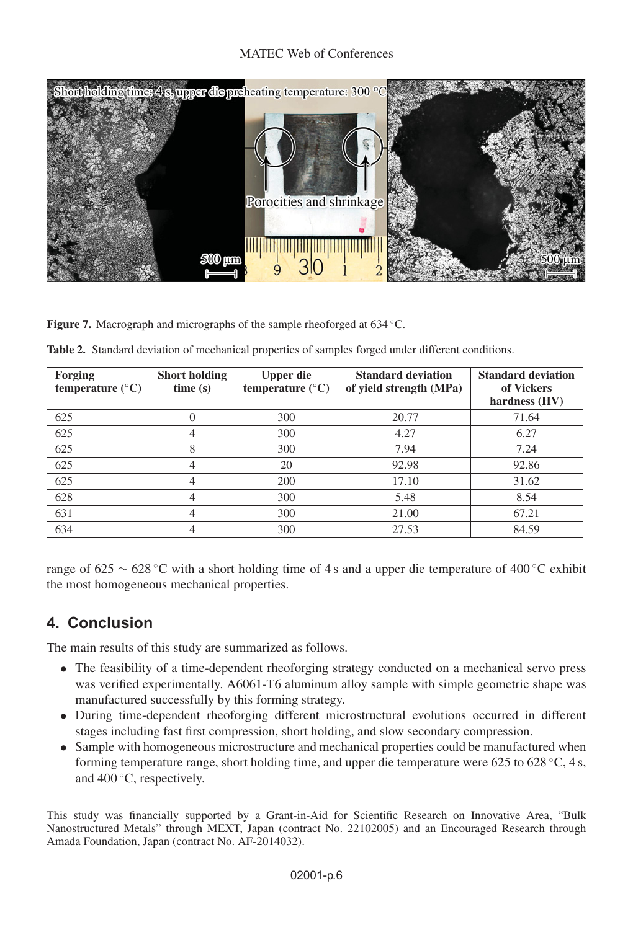<span id="page-5-0"></span>

Figure 7. Macrograph and micrographs of the sample rheoforged at 634 °C.

| <b>Forging</b><br>temperature $(^{\circ}C)$ | <b>Short holding</b><br>time(s) | <b>Upper die</b><br>temperature $(^{\circ}C)$ | <b>Standard deviation</b><br>of yield strength (MPa) | <b>Standard deviation</b><br>of Vickers<br>hardness (HV) |
|---------------------------------------------|---------------------------------|-----------------------------------------------|------------------------------------------------------|----------------------------------------------------------|
| 625                                         |                                 | 300                                           | 20.77                                                | 71.64                                                    |
| 625                                         | 4                               | 300                                           | 4.27                                                 | 6.27                                                     |
| 625                                         | 8                               | 300                                           | 7.94                                                 | 7.24                                                     |
| 625                                         | 4                               | 20                                            | 92.98                                                | 92.86                                                    |
| 625                                         | 4                               | 200                                           | 17.10                                                | 31.62                                                    |
| 628                                         | 4                               | 300                                           | 5.48                                                 | 8.54                                                     |
| 631                                         | 4                               | 300                                           | 21.00                                                | 67.21                                                    |
| 634                                         | 4                               | 300                                           | 27.53                                                | 84.59                                                    |

<span id="page-5-1"></span>**Table 2.** Standard deviation of mechanical properties of samples forged under different conditions.

range of 625 ∼ 628 ◦C with a short holding time of 4 s and a upper die temperature of 400 ◦C exhibit the most homogeneous mechanical properties.

# **4. Conclusion**

The main results of this study are summarized as follows.

- The feasibility of a time-dependent rheoforging strategy conducted on a mechanical servo press was verified experimentally. A6061-T6 aluminum alloy sample with simple geometric shape was manufactured successfully by this forming strategy.
- During time-dependent rheoforging different microstructural evolutions occurred in different stages including fast first compression, short holding, and slow secondary compression.
- Sample with homogeneous microstructure and mechanical properties could be manufactured when forming temperature range, short holding time, and upper die temperature were 625 to 628 ◦C, 4 s, and 400 ◦C, respectively.

This study was financially supported by a Grant-in-Aid for Scientific Research on Innovative Area, "Bulk Nanostructured Metals" through MEXT, Japan (contract No. 22102005) and an Encouraged Research through Amada Foundation, Japan (contract No. AF-2014032).